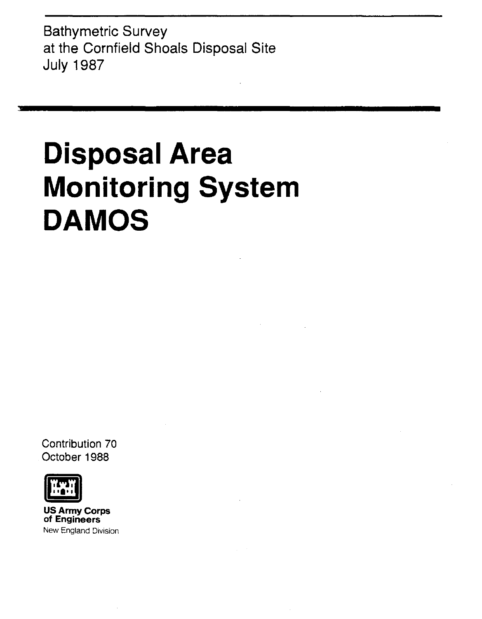Bathymetric Survey at the Cornfield Shoals Disposal Site July 1987

# **Disposal Area Monitoring System DAMOS**

Contribution 70 October 1988



US Army Corps of Engineers New England Division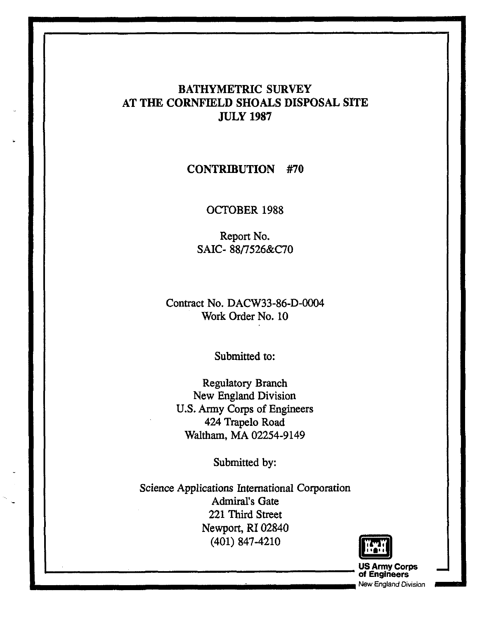# BATHYMETRIC SURVEY AT THE CORNFIELD SHOALS DISPOSAL SITE JULY 1987

# CONTRIBUTION #70

## OCTOBER 1988

Report No. SAIC- *88n526&C70* 

Contract No. DACW33-86-D-0004 Work Order No. 10

Submitted to:

Regulatory Branch New England Division U.S. Anny Corps of Engineers 424 Trapelo Road Waltham, MA 02254-9149

Submitted by:

Science Applications International Corporation Admiral's Gate 221 Third Street Newport, RI 02840 (401) 847-4210

 $\blacksquare$ 



**of Engineers and Properties and Properties and Properties and Properties and Properties and Properties and Properties and Properties and Properties and Properties and Properties and Properties and Properties and Propertie**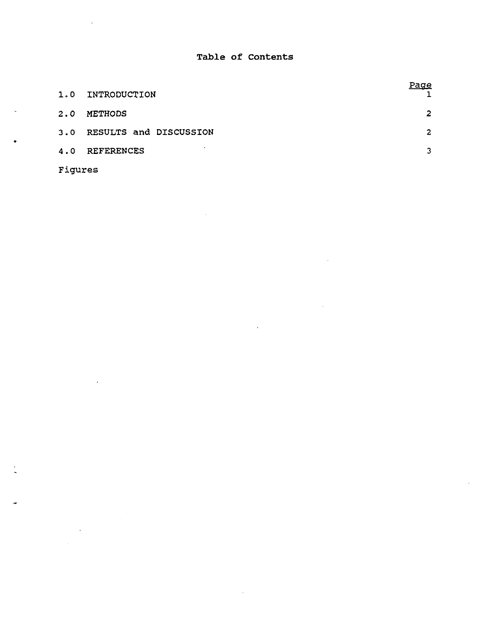### **Table of contents**

| 1.0 | INTRODUCTION           | <u>Page</u> |
|-----|------------------------|-------------|
| 2.0 | <b>METHODS</b>         | 2           |
| 3.0 | RESULTS and DISCUSSION | 2           |
| 4.0 | <b>REFERENCES</b>      | 3.          |

Figures

•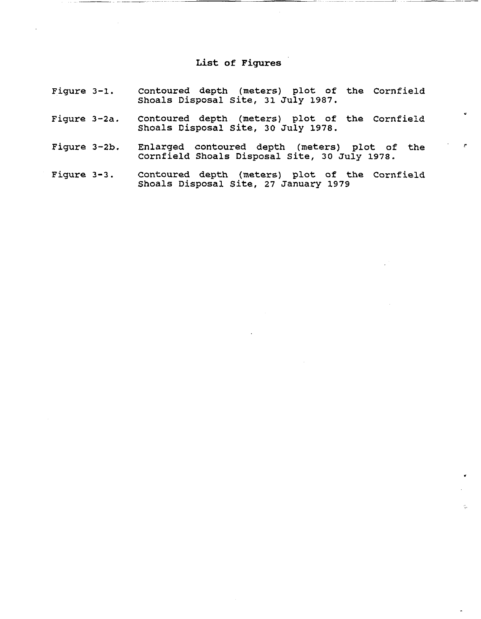# **List of** Figures

| Fiqure 3-1.  | Contoured depth (meters) plot of the Cornfield<br>Shoals Disposal Site, 31 July 1987.          |
|--------------|------------------------------------------------------------------------------------------------|
| Fiqure 3-2a. | Contoured depth (meters) plot of the Cornfield<br>Shoals Disposal Site, 30 July 1978.          |
| Figure 3-2b. | Enlarged contoured depth (meters) plot of the<br>Cornfield Shoals Disposal Site, 30 July 1978. |
| Figure 3-3.  | Contoured depth (meters) plot of the Cornfield<br>Shoals Disposal Site, 27 January 1979        |

•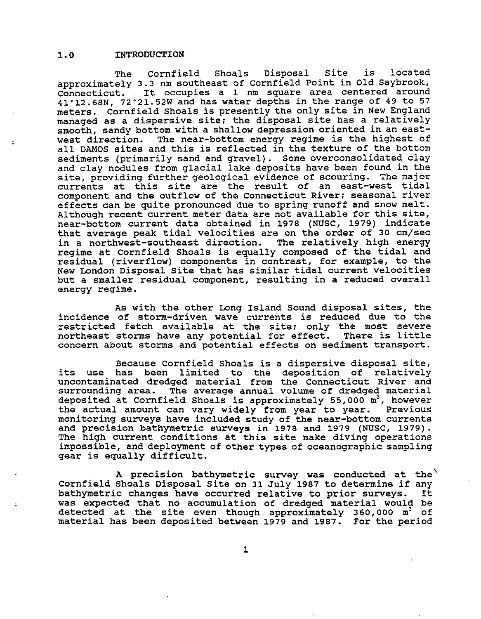### 1.0 INTRODUCTION

The Cornfield Shoals Disposal Site is located approximately 3.3 nm southeast of Cornfield Point in Old Saybrook,<br>Connecticut. It occupies a 1 nm square area centered around It occupies a 1 nm square area centered around 41"12.68N, 72"21.52W and has water depths in the range of 49 to 57 meters. Cornfield Shoals is presently the only site in New England managed as a dispersive site; the disposal site has a relatively smooth, sandy bottom with a shallow depression oriented *in* an eastwest direction. The near-bottom energy regime is the highest of all DAMOS sites and this is reflected *in* the texture of the bottom sediments (primarily sand and gravel). Some overconsolidated clay and clay nodules from glacial lake deposits have been found in the site, providing further geological evidence of scouring. The major currents at this site are the result of an east-west tidal component and the outflow of the Connecticut River; seasonal river effects can be quite pronounced due to spring runoff and snow melt. Although recent current meter data are not available for this site, near-bottom current data obtained *in* 1978 (NUSC, 1979) indicate that average peak tidal velocities are on the order of 30 cm/sec<br>in a northwest-southeast direction. The relatively high energy in a northwest-southeast direction. regime at Cornfield Shoals is equally composed of the tidal and residual (riverflow) components in contrast, for example, to the New London Disposal site that has similar tidal current velocities but a smaller residual component, resulting *in* a reduced overall energy regime.

As with the other Long Island Sound disposal sites, the incidence of storm-driven wave currents is reduced due to the restricted fetch available at the site; only the most severe northeast storms have any potential for effect. There is little concern about storms and potential effects on sediment transport.

Because Cornfield Shoals is a dispersive disposal site, its use has been limited to the deposition of relatively uncontaminated dredged material from the Connecticut River and The average annual volume of dredged material deposited at Cornfield Shoals is approximately 55,000 m<sup>3</sup>, however<br>the actual amount can vary widely from year to year. Previous the actual amount can vary widely from year to year. monitoring surveys have included study of the near-bottom currents and precision bathymetric surveys in 1978 and 1979 (NUSC, 1979). The high current conditions at this site make diving operations impossible, and deployment of other types of oceanographic sampling gear is equally difficult.

A precision bathymetric survey was conducted at the Cornfield Shoals Disposal Site on 31 July 1987 to determine if any bathymetric changes have occurred relative to prior surveys. It bathymetric changes have occurred relative to prior surveys. was expected that no accumulation of dredged material would be detected at the site even though approximately 360,000  $m^3$  of material has been deposited between 1979 and 1987. For the period

1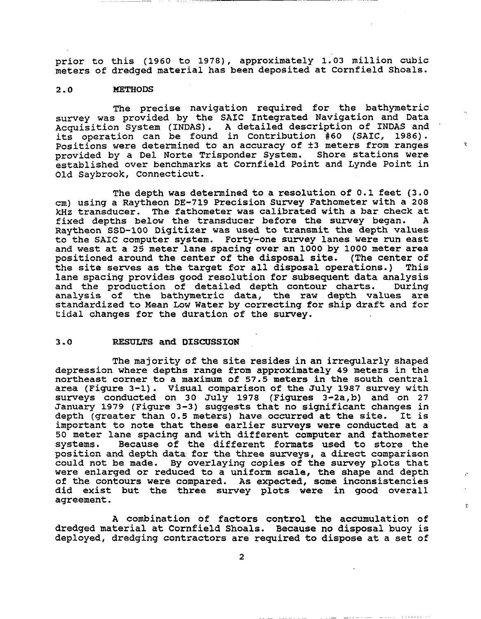prior to this (1960 to 1978), approximately 1.03 million cubic meters of dredged material has been deposited at Cornfield Shoals.

### *2.0* METHODS

The precise navigation required for the bathymetric survey was provided by the SAIC Integrated Navigation and Data Acquisition System (INDAS). A detailed description of INDAS and its operation can be found in Contribution *#60* (SAle, 1986). positions were determined to an accuracy of ±3 meters from ranges provided by a Del Norte Trisponder System. Shore stations were established over benchmarks at Cornfield Point and Lynde Point in Old Saybrook, Connecticut.

The depth was determined to a resolution of 0.1 feet (3.0 cm) using a Raytheon DE-719 Precision survey Fathometer with a 208 kHz transducer. The fathometer was calibrated with a bar check at fixed depths below the transducer before the survey began. Raytheon S8D-100 Digitizer was used to transmit the depth values to the SAIC computer system. Forty-one survey lanes were run east and west at a 25 meter lane spacing over an 1000 by 1000 meter area positioned around the center of the disposal site. (The center of the site serves as the target for all disposal operations.) This lane spacing provides good resolution for subsequent data analysis and the production of detailed depth contour charts. During analysis of the bathymetric data, the raw depth values are standardized to Mean Low water by correcting for ship draft and for tidal changes for the duration of the survey.

#### 3.0 RESULTS and DISCUSSION

The majority of the site resides in an irregularly shaped depression where depths range from approximately 49 meters in the northeast corner to a maximum of 57.5 meters in the south central area (Figure 3-1). Visual comparison of the July 1987 survey with surveys conducted on 30 July 1978 (Figures 3-2a,b) and on 27 January 1979 (Figure 3-3) suggests that no significant changes in depth (greater than 0.5 meters) have occurred at the site. It is important to note that these earlier surveys were conducted at a 50 meter lane spacing and with different computer and fathometer Because of the different formats used to store the position and depth data for the three surveys, a direct comparison could not be made. By overlaying copies of the survey plots that were enlarged or reduced to a uniform scale, the shape and depth of the contours were compared. As expected, some inconsistencies did exist but the three survey plots were in good overall agreement.

A combination of factors control the accumulation of dredged material at Cornfield Shoals. Because no disposal buoy is deployed, dredging contractors are required to dispose at a set of  $\bar{z}$ 

2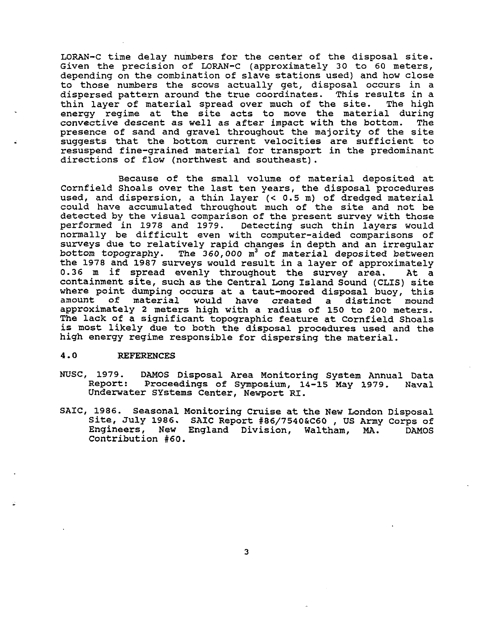LORAN-C time delay numbers for the center of the disposal site. Given the precision of LORAN-C (approximately 30 to 60 meters, depending on the combination of slave stations used) and how close to those numbers the scows actually get, disposal occurs in a dispersed pattern around the true coordinates. This results in a thin laver of material spread over much of the site. The high thin layer of material spread over much of the site. energy regime at the site acts to move the material during<br>convective descent as well as after impact with the bottom. The convective descent as well as after impact with the bottom. presence of sand and gravel throughout the majority of the site suggests that the bottom current velocities are sufficient to resuspend fine-grained material for transport in the predominant directions of flow (northwest and southeast).

Because of the small volume of material deposited at Cornfield Shoals over the last ten years, the disposal procedures used, and dispersion, a thin layer (< 0.5 m) of dredged material could have accumulated throughout much of the site and not be detected by the visual comparison of the present survey with those performed in 1978 and 1979. Detecting such thin layers would normally be difficult even with computer-aided comparisons of surveys due to relatively rapid changes in depth and an irregular bottom topography. The *360,000* m3 of material deposited between the 1978 and 1987 surveys would result in a layer of approximately<br>0.36 m if spread evenly throughout the survey area. At a  $0.36$  m if spread evenly throughout the survey area. containment site, such as the Central Long Island Sound (CLIS) site where point dumping occurs at a taut-moored disposal buoy, this amount of material would have created a distinct mound would have created a approximately 2 meters high with a radius of 150 to 200 meters. The lack of a significant topographic feature at Cornfield Shoals is most likely due to both the disposal procedures used and the high energy regime responsible for dispersing the material.

#### 4.0 REFERENCES

- NUSC, 1979. DAMOS Disposal Area Monitoring System Annual Data<br>Report: Proceedings of Symposium, 14-15 May 1979. Naval Proceedings of Symposium, 14-15 May 1979. Underwater SYstems Center, Newport RI.
- SAIC, 1986. Seasonal Monitoring cruise at the New London Disposal Site, July 1986. SAIC Report #86/7540&C60 , *US* Army Corps of Engineers, New England Division, Waltham, MA. Contribution #60. DAMOS

3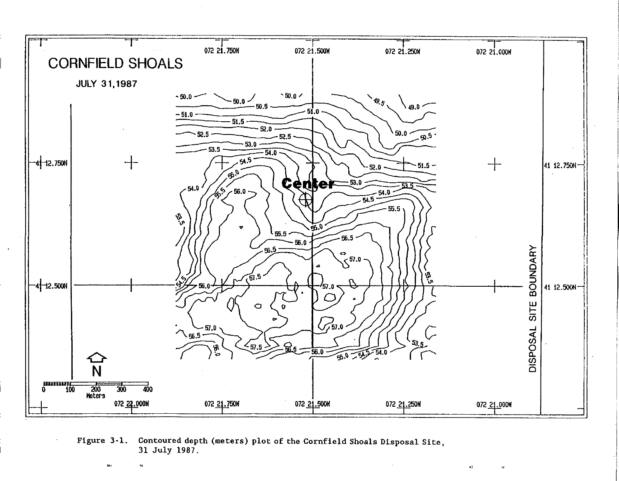

Contoured depth (meters) plot of the Cornfield Shoals Disposal Site, Figure 3-1. 31 July 1987.

 $\langle d \rangle$ 

 $\mathbf{G}$ 

xý.

 $\epsilon_{\rm f}$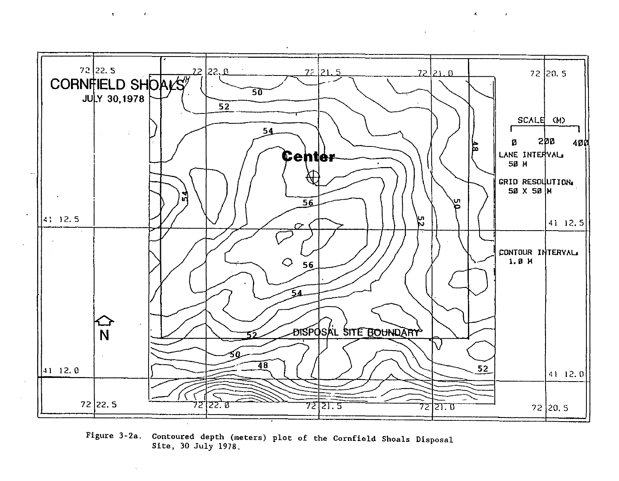

 $\epsilon$ 

 $\epsilon$ 

 $\mathbf{r}$ 

 $\mathcal{A}$  .

Figure 3-2a. Contoured depth (meters) plot of the Cornfield Shoals Disposal Site, 30 July 1978.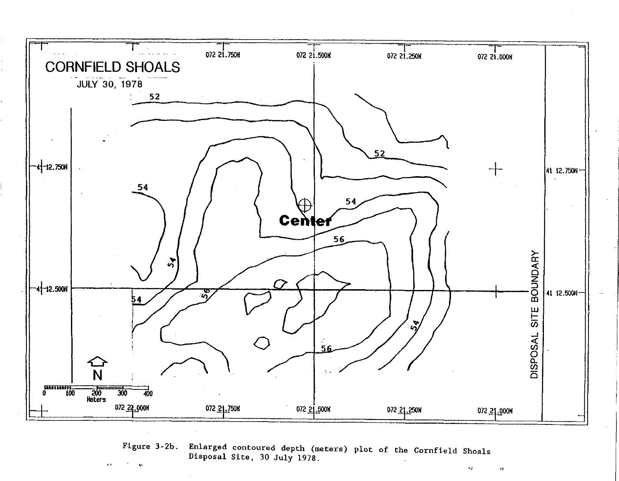

Figure 3-2b. Enlarged contoured depth (meters) plot of the Cornfield Shoals Disposal Site, 30 July 1978.  $\mathbf{v}$ 

 $\mathcal{F}_{\mathbf{0}}^{\mathcal{A}}$  .

 $\bullet$ 

 $\leftrightarrow$